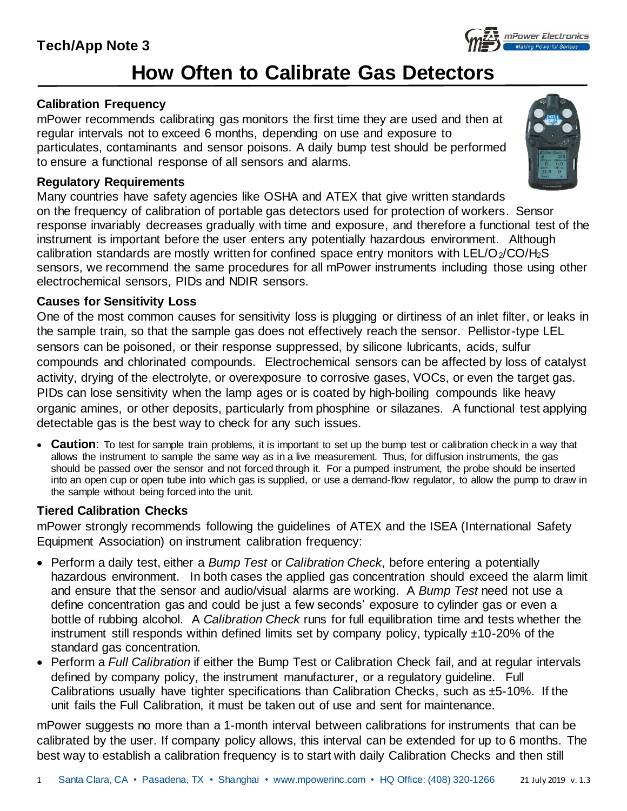## **Tech/App Note 3**

# **How Often to Calibrate Gas Detectors**

### **Calibration Frequency**

mPower recommends calibrating gas monitors the first time they are used and then at regular intervals not to exceed 6 months, depending on use and exposure to particulates, contaminants and sensor poisons. A daily bump test should be performed to ensure a functional response of all sensors and alarms.

#### **Regulatory Requirements**

Many countries have safety agencies like OSHA and ATEX that give written standards on the frequency of calibration of portable gas detectors used for protection of workers. Sensor response invariably decreases gradually with time and exposure, and therefore a functional test of the instrument is important before the user enters any potentially hazardous environment. Although calibration standards are mostly written for confined space entry monitors with  $LEL/O<sub>2</sub>/CO/H<sub>2</sub>S$ sensors, we recommend the same procedures for all mPower instruments including those using other electrochemical sensors, PIDs and NDIR sensors.

### **Causes for Sensitivity Loss**

One of the most common causes for sensitivity loss is plugging or dirtiness of an inlet filter, or leaks in the sample train, so that the sample gas does not effectively reach the sensor. Pellistor-type LEL sensors can be poisoned, or their response suppressed, by silicone lubricants, acids, sulfur compounds and chlorinated compounds. Electrochemical sensors can be affected by loss of catalyst activity, drying of the electrolyte, or overexposure to corrosive gases, VOCs, or even the target gas. PIDs can lose sensitivity when the lamp ages or is coated by high-boiling compounds like heavy organic amines, or other deposits, particularly from phosphine or silazanes. A functional test applying detectable gas is the best way to check for any such issues.

• **Caution**: To test for sample train problems, it is important to set up the bump test or calibration check in a way that allows the instrument to sample the same way as in a live measurement. Thus, for diffusion instruments, the gas should be passed over the sensor and not forced through it. For a pumped instrument, the probe should be inserted into an open cup or open tube into which gas is supplied, or use a demand-flow regulator, to allow the pump to draw in the sample without being forced into the unit.

### **Tiered Calibration Checks**

mPower strongly recommends following the guidelines of ATEX and the ISEA (International Safety Equipment Association) on instrument calibration frequency:

- Perform a daily test, either a *Bump Test* or *Calibration Check*, before entering a potentially hazardous environment. In both cases the applied gas concentration should exceed the alarm limit and ensure that the sensor and audio/visual alarms are working. A *Bump Test* need not use a define concentration gas and could be just a few seconds' exposure to cylinder gas or even a bottle of rubbing alcohol. A *Calibration Check* runs for full equilibration time and tests whether the instrument still responds within defined limits set by company policy, typically  $\pm$ 10-20% of the standard gas concentration.
- Perform a *Full Calibration* if either the Bump Test or Calibration Check fail, and at regular intervals defined by company policy, the instrument manufacturer, or a regulatory guideline. Full Calibrations usually have tighter specifications than Calibration Checks, such as  $\pm$ 5-10%. If the unit fails the Full Calibration, it must be taken out of use and sent for maintenance.

mPower suggests no more than a 1-month interval between calibrations for instruments that can be calibrated by the user. If company policy allows, this interval can be extended for up to 6 months. The best way to establish a calibration frequency is to start with daily Calibration Checks and then still